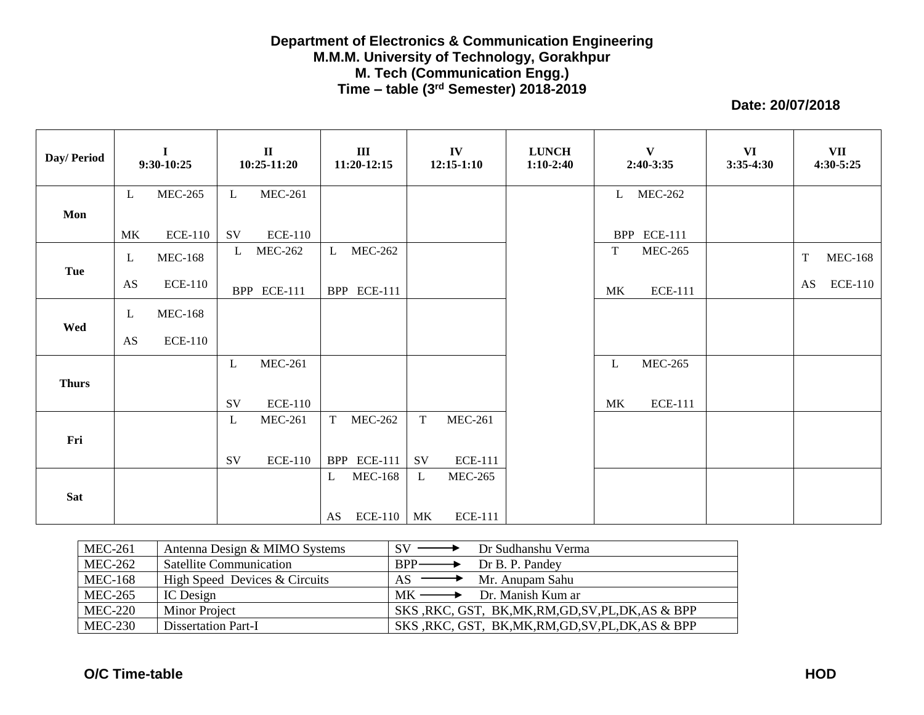## **Department of Electronics & Communication Engineering M.M.M. University of Technology, Gorakhpur M. Tech (Communication Engg.) Time – table (3 rd Semester) 2018-2019**

**Date: 20/07/2018**

| Day/Period   |                        | $\mathbf I$<br>9:30-10:25 |               | $\mathbf{I}$<br>10:25-11:20 | $\mathbf{III}$<br>11:20-12:15 |             | IV<br>$12:15 - 1:10$ | <b>LUNCH</b><br>$1:10-2:40$ |    | $\mathbf{V}$<br>2:40-3:35 | VI<br>$3:35-4:30$ |             | VII<br>$4:30 - 5:25$ |
|--------------|------------------------|---------------------------|---------------|-----------------------------|-------------------------------|-------------|----------------------|-----------------------------|----|---------------------------|-------------------|-------------|----------------------|
|              | $\mathbf{L}$           | <b>MEC-265</b>            | $\mathbf{L}$  | <b>MEC-261</b>              |                               |             |                      |                             |    | L MEC-262                 |                   |             |                      |
| Mon          |                        |                           |               |                             |                               |             |                      |                             |    |                           |                   |             |                      |
|              | MK                     | <b>ECE-110</b>            | SV            | <b>ECE-110</b>              |                               |             |                      |                             |    | BPP ECE-111               |                   |             |                      |
|              | $\mathbf{L}$           | <b>MEC-168</b>            | L             | <b>MEC-262</b>              | L MEC-262                     |             |                      |                             | T  | <b>MEC-265</b>            |                   | $\mathbf T$ | <b>MEC-168</b>       |
| Tue          | AS                     | <b>ECE-110</b>            |               | BPP ECE-111                 | BPP ECE-111                   |             |                      |                             | MK | <b>ECE-111</b>            |                   | AS          | <b>ECE-110</b>       |
| Wed          | L                      | <b>MEC-168</b>            |               |                             |                               |             |                      |                             |    |                           |                   |             |                      |
|              | $\mathbf{A}\mathbf{S}$ | <b>ECE-110</b>            |               |                             |                               |             |                      |                             |    |                           |                   |             |                      |
|              |                        |                           | L             | <b>MEC-261</b>              |                               |             |                      |                             | L  | <b>MEC-265</b>            |                   |             |                      |
| <b>Thurs</b> |                        |                           |               |                             |                               |             |                      |                             |    |                           |                   |             |                      |
|              |                        |                           | SV            | <b>ECE-110</b>              |                               |             |                      |                             | MK | <b>ECE-111</b>            |                   |             |                      |
|              |                        |                           | L             | <b>MEC-261</b>              | <b>MEC-262</b><br>T           | $\mathbf T$ | <b>MEC-261</b>       |                             |    |                           |                   |             |                      |
| Fri          |                        |                           |               |                             |                               |             |                      |                             |    |                           |                   |             |                      |
|              |                        |                           | $\mathrm{SV}$ | <b>ECE-110</b>              | BPP ECE-111                   | SV          | <b>ECE-111</b>       |                             |    |                           |                   |             |                      |
|              |                        |                           |               |                             | <b>MEC-168</b><br>L           | L           | <b>MEC-265</b>       |                             |    |                           |                   |             |                      |
| <b>Sat</b>   |                        |                           |               |                             |                               |             |                      |                             |    |                           |                   |             |                      |
|              |                        |                           |               |                             | $ECE-110$<br>AS               | MK          | <b>ECE-111</b>       |                             |    |                           |                   |             |                      |

| <b>MEC-261</b> | Antenna Design & MIMO Systems  | Dr Sudhanshu Verma<br>$\mathbf{S} \mathbf{V}$ $\longrightarrow$ |
|----------------|--------------------------------|-----------------------------------------------------------------|
| <b>MEC-262</b> | <b>Satellite Communication</b> | $RPP$ —<br>Dr B. P. Pandey                                      |
| <b>MEC-168</b> | High Speed Devices & Circuits  | $\longrightarrow$ Mr. Anupam Sahu<br>AS.                        |
| <b>MEC-265</b> | IC Design                      | $MK \longrightarrow$ Dr. Manish Kum ar                          |
| <b>MEC-220</b> | <b>Minor Project</b>           | SKS, RKC, GST, BK, MK, RM, GD, SV, PL, DK, AS & BPP             |
| <b>MEC-230</b> | <b>Dissertation Part-I</b>     | SKS, RKC, GST, BK, MK, RM, GD, SV, PL, DK, AS & BPP             |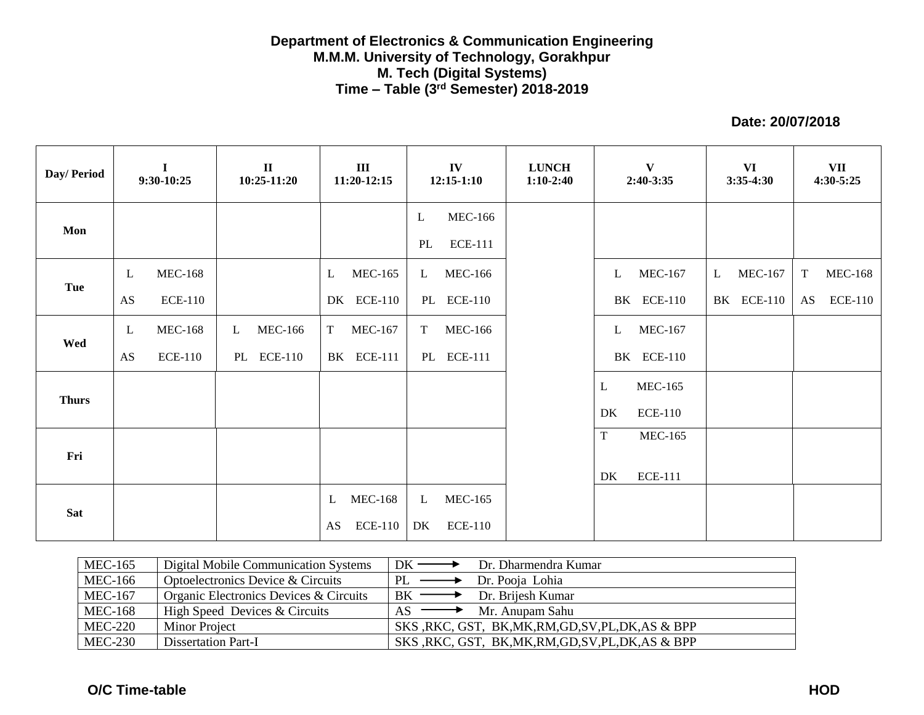## **Department of Electronics & Communication Engineering M.M.M. University of Technology, Gorakhpur M. Tech (Digital Systems) Time – Table (3 rd Semester) 2018-2019**

**Date: 20/07/2018**

| Day/ Period  |             | $\mathbf I$<br>9:30-10:25 | $\mathbf{I}$<br>10:25-11:20 | III<br>11:20-12:15   | IV<br>$12:15-1:10$             | <b>LUNCH</b><br>$1:10-2:40$ | $\mathbf{V}$<br>2:40-3:35      | <b>VI</b><br>$3:35-4:30$       | VII<br>$4:30 - 5:25$          |
|--------------|-------------|---------------------------|-----------------------------|----------------------|--------------------------------|-----------------------------|--------------------------------|--------------------------------|-------------------------------|
| Mon          |             |                           |                             |                      | <b>MEC-166</b><br>L            |                             |                                |                                |                               |
|              |             |                           |                             |                      | <b>ECE-111</b><br>PL           |                             |                                |                                |                               |
| Tue          | $\mathbf L$ | <b>MEC-168</b>            |                             | <b>MEC-165</b><br>L  | <b>MEC-166</b><br>$\mathbf{L}$ |                             | $\mathbf{L}$<br><b>MEC-167</b> | <b>MEC-167</b><br>$\mathbf{L}$ | <b>MEC-168</b><br>$\mathbf T$ |
|              | <b>AS</b>   | <b>ECE-110</b>            |                             | DK ECE-110           | PL ECE-110                     |                             | BK ECE-110                     | <b>BK</b> ECE-110              | <b>ECE-110</b><br>AS          |
|              | L           | <b>MEC-168</b>            | <b>MEC-166</b><br>L         | <b>MEC-167</b><br>T  | <b>MEC-166</b><br>T            |                             | L<br><b>MEC-167</b>            |                                |                               |
| Wed          | AS          | <b>ECE-110</b>            | PL ECE-110                  | BK ECE-111           | PL ECE-111                     |                             | <b>BK</b> ECE-110              |                                |                               |
|              |             |                           |                             |                      |                                |                             | <b>MEC-165</b><br>L            |                                |                               |
| <b>Thurs</b> |             |                           |                             |                      |                                |                             | <b>ECE-110</b><br>DK           |                                |                               |
|              |             |                           |                             |                      |                                |                             | $\mathbf T$<br><b>MEC-165</b>  |                                |                               |
| Fri          |             |                           |                             |                      |                                |                             | <b>ECE-111</b><br>DK           |                                |                               |
|              |             |                           |                             | <b>MEC-168</b><br>L  | <b>MEC-165</b><br>$\mathbf{L}$ |                             |                                |                                |                               |
| <b>Sat</b>   |             |                           |                             | <b>ECE-110</b><br>AS | DK<br><b>ECE-110</b>           |                             |                                |                                |                               |

| <b>MEC-165</b> | Digital Mobile Communication Systems   | $DK \longrightarrow$<br>Dr. Dharmendra Kumar            |
|----------------|----------------------------------------|---------------------------------------------------------|
| <b>MEC-166</b> | Optoelectronics Device & Circuits      | $PL$ —<br>$\rightarrow$ Dr. Pooja Lohia                 |
| <b>MEC-167</b> | Organic Electronics Devices & Circuits | $\rightarrow$ Dr. Brijesh Kumar<br>$BK \longrightarrow$ |
| <b>MEC-168</b> | High Speed Devices & Circuits          | $\longrightarrow$ Mr. Anupam Sahu                       |
| <b>MEC-220</b> | <b>Minor Project</b>                   | SKS, RKC, GST, BK, MK, RM, GD, SV, PL, DK, AS & BPP     |
| $MEC-230$      | Dissertation Part-I                    | SKS, RKC, GST, BK, MK, RM, GD, SV, PL, DK, AS & BPP     |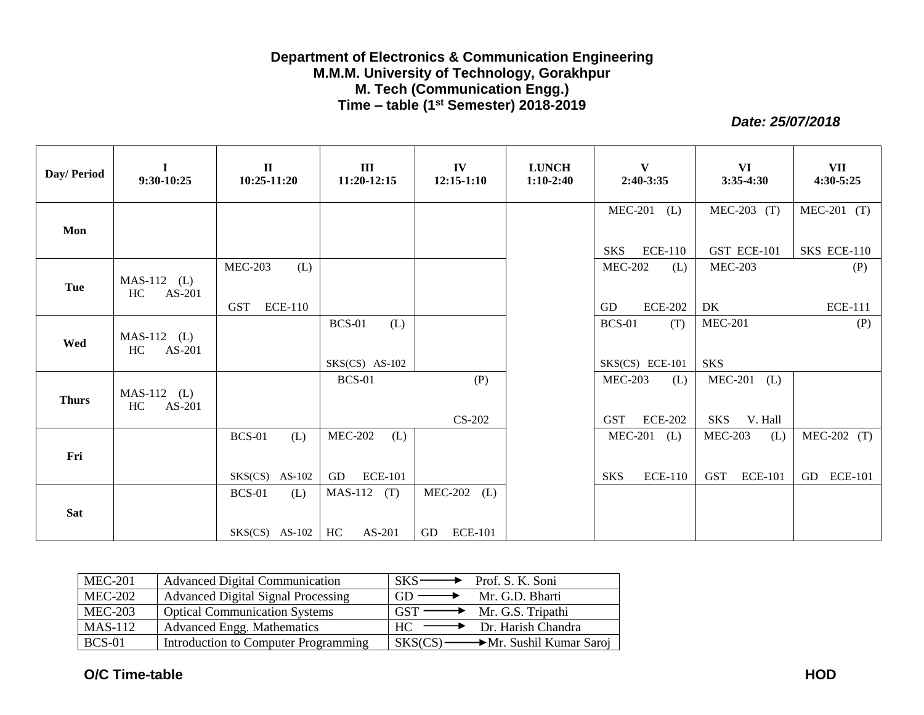## **Department of Electronics & Communication Engineering M.M.M. University of Technology, Gorakhpur M. Tech (Communication Engg.) Time – table (1 st Semester) 2018-2019**

*Date: 25/07/2018*

| Day/ Period  | $\bf{I}$<br>9:30-10:25        | $\mathbf{I}$<br>$10:25-11:20$                         | III<br>11:20-12:15                            | IV<br>$12:15 - 1:10$                | <b>LUNCH</b><br>$1:10-2:40$ | $\mathbf{V}$<br>2:40-3:35                             | VI<br>$3:35-4:30$                                     | <b>VII</b><br>4:30-5:25      |
|--------------|-------------------------------|-------------------------------------------------------|-----------------------------------------------|-------------------------------------|-----------------------------|-------------------------------------------------------|-------------------------------------------------------|------------------------------|
| Mon          |                               |                                                       |                                               |                                     |                             | <b>MEC-201</b><br>(L)<br><b>ECE-110</b><br><b>SKS</b> | $MEC-203$ (T)<br>GST ECE-101                          | $MEC-201$ (T)<br>SKS ECE-110 |
| Tue          | $MAS-112$ (L)<br>HC<br>AS-201 | <b>MEC-203</b><br>(L)<br><b>ECE-110</b><br><b>GST</b> |                                               |                                     |                             | <b>MEC-202</b><br>(L)<br><b>ECE-202</b><br>GD         | <b>MEC-203</b><br>DK                                  | (P)<br><b>ECE-111</b>        |
| Wed          | $MAS-112$ (L)<br>HC<br>AS-201 |                                                       | <b>BCS-01</b><br>(L)<br>$SKS(CS)$ AS-102      |                                     |                             | <b>BCS-01</b><br>(T)<br>SKS(CS) ECE-101               | <b>MEC-201</b><br><b>SKS</b>                          | (P)                          |
| <b>Thurs</b> | $MAS-112$ (L)<br>HC<br>AS-201 |                                                       | <b>BCS-01</b>                                 | (P)<br>$CS-202$                     |                             | <b>MEC-203</b><br>(L)<br><b>ECE-202</b><br><b>GST</b> | <b>MEC-201</b><br>(L)<br><b>SKS</b><br>V. Hall        |                              |
| Fri          |                               | <b>BCS-01</b><br>(L)<br>$SKS(CS)$ AS-102              | <b>MEC-202</b><br>(L)<br>GD<br><b>ECE-101</b> |                                     |                             | $MEC-201$ (L)<br><b>ECE-110</b><br><b>SKS</b>         | <b>MEC-203</b><br>(L)<br><b>GST</b><br><b>ECE-101</b> | $MEC-202$ (T)<br>GD ECE-101  |
| <b>Sat</b>   |                               | <b>BCS-01</b><br>(L)<br>$SKS(CS)$ AS-102              | (T)<br><b>MAS-112</b><br>$AS-201$<br>HC       | <b>MEC-202</b><br>(L)<br>GD ECE-101 |                             |                                                       |                                                       |                              |

| <b>MEC-201</b> | <b>Advanced Digital Communication</b>     | $SKS \longrightarrow$ Prof. S. K. Soni           |
|----------------|-------------------------------------------|--------------------------------------------------|
| <b>MEC-202</b> | <b>Advanced Digital Signal Processing</b> | Mr. G.D. Bharti<br>$GD \longrightarrow$          |
| $MEC-203$      | <b>Optical Communication Systems</b>      | $GST \longrightarrow Mr. G.S. Tripathi$          |
| <b>MAS-112</b> | <b>Advanced Engg. Mathematics</b>         | $HC \longrightarrow Dr. Harish Chandra$          |
| <b>BCS-01</b>  | Introduction to Computer Programming      | $SKS(CS) \longrightarrow Mr. Subfil Kumar Saroj$ |